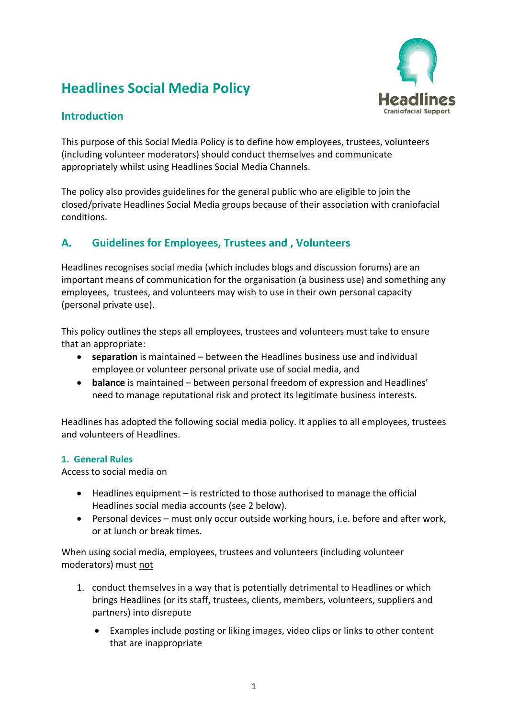# **Headlines Social Media Policy**



## **Introduction**

This purpose of this Social Media Policy is to define how employees, trustees, volunteers (including volunteer moderators) should conduct themselves and communicate appropriately whilst using Headlines Social Media Channels.

The policy also provides guidelines for the general public who are eligible to join the closed/private Headlines Social Media groups because of their association with craniofacial conditions.

## **A. Guidelines for Employees, Trustees and , Volunteers**

Headlines recognises social media (which includes blogs and discussion forums) are an important means of communication for the organisation (a business use) and something any employees, trustees, and volunteers may wish to use in their own personal capacity (personal private use).

This policy outlines the steps all employees, trustees and volunteers must take to ensure that an appropriate:

- **separation** is maintained between the Headlines business use and individual employee or volunteer personal private use of social media, and
- **balance** is maintained between personal freedom of expression and Headlines' need to manage reputational risk and protect its legitimate business interests.

Headlines has adopted the following social media policy. It applies to all employees, trustees and volunteers of Headlines.

#### **1. General Rules**

Access to social media on

- Headlines equipment is restricted to those authorised to manage the official Headlines social media accounts (see 2 below).
- Personal devices must only occur outside working hours, i.e. before and after work, or at lunch or break times.

When using social media, employees, trustees and volunteers (including volunteer moderators) must not

- 1. conduct themselves in a way that is potentially detrimental to Headlines or which brings Headlines (or its staff, trustees, clients, members, volunteers, suppliers and partners) into disrepute
	- Examples include posting or liking images, video clips or links to other content that are inappropriate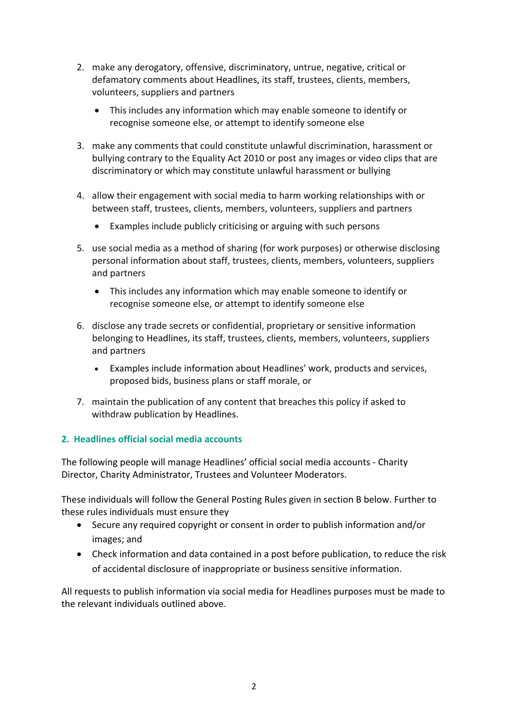- 2. make any derogatory, offensive, discriminatory, untrue, negative, critical or defamatory comments about Headlines, its staff, trustees, clients, members, volunteers, suppliers and partners
	- This includes any information which may enable someone to identify or recognise someone else, or attempt to identify someone else
- 3. make any comments that could constitute unlawful discrimination, harassment or bullying contrary to the Equality Act 2010 or post any images or video clips that are discriminatory or which may constitute unlawful harassment or bullying
- 4. allow their engagement with social media to harm working relationships with or between staff, trustees, clients, members, volunteers, suppliers and partners
	- Examples include publicly criticising or arguing with such persons
- 5. use social media as a method of sharing (for work purposes) or otherwise disclosing personal information about staff, trustees, clients, members, volunteers, suppliers and partners
	- This includes any information which may enable someone to identify or recognise someone else, or attempt to identify someone else
- 6. disclose any trade secrets or confidential, proprietary or sensitive information belonging to Headlines, its staff, trustees, clients, members, volunteers, suppliers and partners
	- Examples include information about Headlines' work, products and services, proposed bids, business plans or staff morale, or
- 7. maintain the publication of any content that breaches this policy if asked to withdraw publication by Headlines.

### **2. Headlines official social media accounts**

The following people will manage Headlines' official social media accounts - Charity Director, Charity Administrator, Trustees and Volunteer Moderators.

These individuals will follow the General Posting Rules given in section B below. Further to these rules individuals must ensure they

- Secure any required copyright or consent in order to publish information and/or images; and
- Check information and data contained in a post before publication, to reduce the risk of accidental disclosure of inappropriate or business sensitive information.

All requests to publish information via social media for Headlines purposes must be made to the relevant individuals outlined above.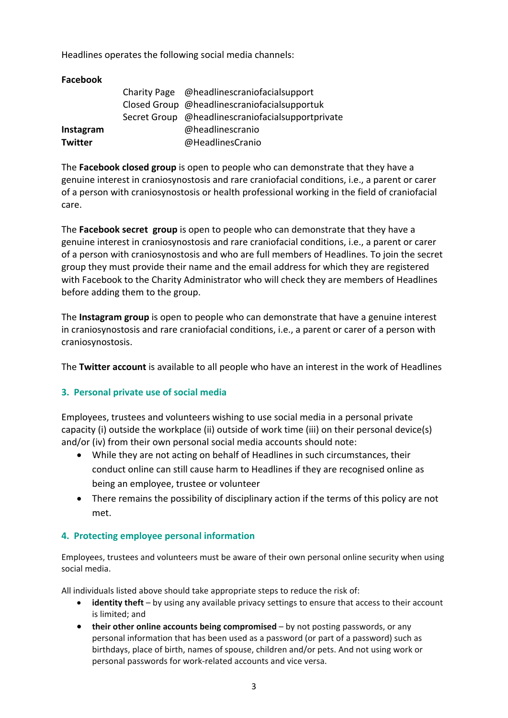Headlines operates the following social media channels:

| Facebook       |                                                   |
|----------------|---------------------------------------------------|
|                | Charity Page @headlinescraniofacialsupport        |
|                | Closed Group @headlinescraniofacialsupportuk      |
|                | Secret Group @headlinescraniofacialsupportprivate |
| Instagram      | @headlinescranio                                  |
| <b>Twitter</b> | @HeadlinesCranio                                  |

The **Facebook closed group** is open to people who can demonstrate that they have a genuine interest in craniosynostosis and rare craniofacial conditions, i.e., a parent or carer of a person with craniosynostosis or health professional working in the field of craniofacial care.

The **Facebook secret group** is open to people who can demonstrate that they have a genuine interest in craniosynostosis and rare craniofacial conditions, i.e., a parent or carer of a person with craniosynostosis and who are full members of Headlines. To join the secret group they must provide their name and the email address for which they are registered with Facebook to the Charity Administrator who will check they are members of Headlines before adding them to the group.

The **Instagram group** is open to people who can demonstrate that have a genuine interest in craniosynostosis and rare craniofacial conditions, i.e., a parent or carer of a person with craniosynostosis.

The **Twitter account** is available to all people who have an interest in the work of Headlines

#### **3. Personal private use of social media**

Employees, trustees and volunteers wishing to use social media in a personal private capacity (i) outside the workplace (ii) outside of work time (iii) on their personal device(s) and/or (iv) from their own personal social media accounts should note:

- While they are not acting on behalf of Headlines in such circumstances, their conduct online can still cause harm to Headlines if they are recognised online as being an employee, trustee or volunteer
- There remains the possibility of disciplinary action if the terms of this policy are not met.

#### **4. Protecting employee personal information**

Employees, trustees and volunteers must be aware of their own personal online security when using social media.

All individuals listed above should take appropriate steps to reduce the risk of:

- **identity theft** by using any available privacy settings to ensure that access to their account is limited; and
- **their other online accounts being compromised** by not posting passwords, or any personal information that has been used as a password (or part of a password) such as birthdays, place of birth, names of spouse, children and/or pets. And not using work or personal passwords for work-related accounts and vice versa.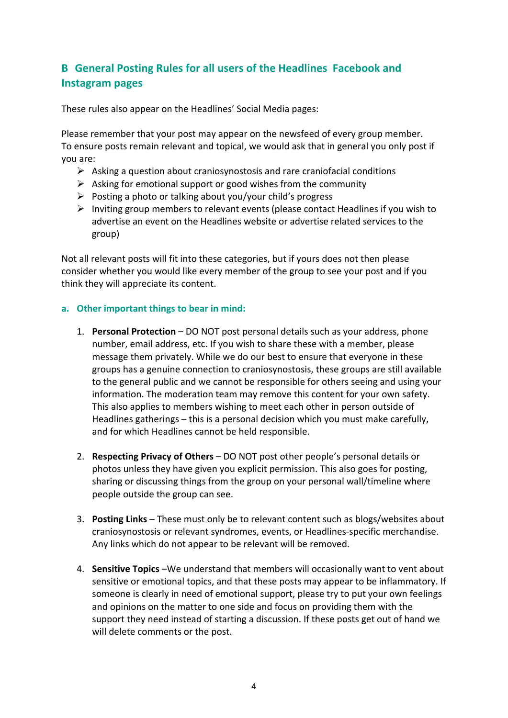# **B General Posting Rules for all users of the Headlines Facebook and Instagram pages**

These rules also appear on the Headlines' Social Media pages:

Please remember that your post may appear on the newsfeed of every group member. To ensure posts remain relevant and topical, we would ask that in general you only post if you are:

- $\triangleright$  Asking a question about craniosynostosis and rare craniofacial conditions
- $\triangleright$  Asking for emotional support or good wishes from the community
- $\triangleright$  Posting a photo or talking about you/your child's progress
- $\triangleright$  Inviting group members to relevant events (please contact Headlines if you wish to advertise an event on the Headlines website or advertise related services to the group)

Not all relevant posts will fit into these categories, but if yours does not then please consider whether you would like every member of the group to see your post and if you think they will appreciate its content.

#### **a. Other important things to bear in mind:**

- 1. **Personal Protection** DO NOT post personal details such as your address, phone number, email address, etc. If you wish to share these with a member, please message them privately. While we do our best to ensure that everyone in these groups has a genuine connection to craniosynostosis, these groups are still available to the general public and we cannot be responsible for others seeing and using your information. The moderation team may remove this content for your own safety. This also applies to members wishing to meet each other in person outside of Headlines gatherings – this is a personal decision which you must make carefully, and for which Headlines cannot be held responsible.
- 2. **Respecting Privacy of Others** DO NOT post other people's personal details or photos unless they have given you explicit permission. This also goes for posting, sharing or discussing things from the group on your personal wall/timeline where people outside the group can see.
- 3. **Posting Links** These must only be to relevant content such as blogs/websites about craniosynostosis or relevant syndromes, events, or Headlines-specific merchandise. Any links which do not appear to be relevant will be removed.
- 4. **Sensitive Topics** –We understand that members will occasionally want to vent about sensitive or emotional topics, and that these posts may appear to be inflammatory. If someone is clearly in need of emotional support, please try to put your own feelings and opinions on the matter to one side and focus on providing them with the support they need instead of starting a discussion. If these posts get out of hand we will delete comments or the post.